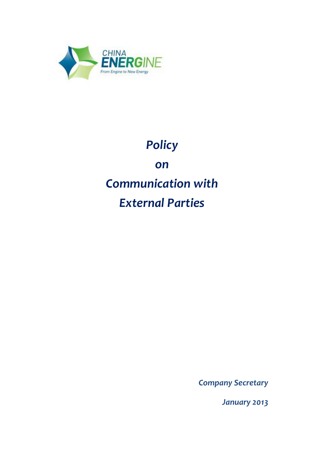

# *Policy on Communication with External Parties*

*Company Secretary*

*January 2013*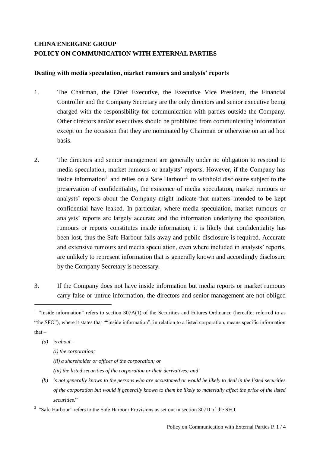# **CHINA ENERGINE GROUP POLICY ON COMMUNICATION WITH EXTERNAL PARTIES**

#### **Dealing with media speculation, market rumours and analysts' reports**

- 1. The Chairman, the Chief Executive, the Executive Vice President, the Financial Controller and the Company Secretary are the only directors and senior executive being charged with the responsibility for communication with parties outside the Company. Other directors and/or executives should be prohibited from communicating information except on the occasion that they are nominated by Chairman or otherwise on an ad hoc basis.
- 2. The directors and senior management are generally under no obligation to respond to media speculation, market rumours or analysts' reports. However, if the Company has inside information<sup>1</sup> and relies on a Safe Harbour<sup>2</sup> to withhold disclosure subject to the preservation of confidentiality, the existence of media speculation, market rumours or analysts' reports about the Company might indicate that matters intended to be kept confidential have leaked. In particular, where media speculation, market rumours or analysts' reports are largely accurate and the information underlying the speculation, rumours or reports constitutes inside information, it is likely that confidentiality has been lost, thus the Safe Harbour falls away and public disclosure is required. Accurate and extensive rumours and media speculation, even where included in analysts' reports, are unlikely to represent information that is generally known and accordingly disclosure by the Company Secretary is necessary.
- 3. If the Company does not have inside information but media reports or market rumours carry false or untrue information, the directors and senior management are not obliged

*(a) is about –* 

 $\overline{a}$ 

*(i) the corporation;* 

*(ii) a shareholder or officer of the corporation; or* 

- *(iii) the listed securities of the corporation or their derivatives; and*
- *(b) is not generally known to the persons who are accustomed or would be likely to deal in the listed securities of the corporation but would if generally known to them be likely to materially affect the price of the listed securities.*"

<sup>&</sup>lt;sup>1</sup> "Inside information" refers to section  $307A(1)$  of the Securities and Futures Ordinance (hereafter referred to as "the SFO"), where it states that ""inside information", in relation to a listed corporation, means specific information that $-$ 

 $2^{\circ}$  "Safe Harbour" refers to the Safe Harbour Provisions as set out in section 307D of the SFO.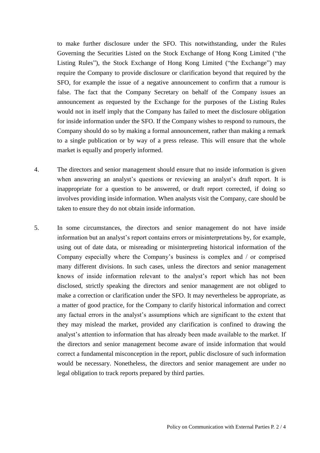to make further disclosure under the SFO. This notwithstanding, under the Rules Governing the Securities Listed on the Stock Exchange of Hong Kong Limited ("the Listing Rules"), the Stock Exchange of Hong Kong Limited ("the Exchange") may require the Company to provide disclosure or clarification beyond that required by the SFO, for example the issue of a negative announcement to confirm that a rumour is false. The fact that the Company Secretary on behalf of the Company issues an announcement as requested by the Exchange for the purposes of the Listing Rules would not in itself imply that the Company has failed to meet the disclosure obligation for inside information under the SFO. If the Company wishes to respond to rumours, the Company should do so by making a formal announcement, rather than making a remark to a single publication or by way of a press release. This will ensure that the whole market is equally and properly informed.

- 4. The directors and senior management should ensure that no inside information is given when answering an analyst's questions or reviewing an analyst's draft report. It is inappropriate for a question to be answered, or draft report corrected, if doing so involves providing inside information. When analysts visit the Company, care should be taken to ensure they do not obtain inside information.
- 5. In some circumstances, the directors and senior management do not have inside information but an analyst's report contains errors or misinterpretations by, for example, using out of date data, or misreading or misinterpreting historical information of the Company especially where the Company's business is complex and / or comprised many different divisions. In such cases, unless the directors and senior management knows of inside information relevant to the analyst's report which has not been disclosed, strictly speaking the directors and senior management are not obliged to make a correction or clarification under the SFO. It may nevertheless be appropriate, as a matter of good practice, for the Company to clarify historical information and correct any factual errors in the analyst's assumptions which are significant to the extent that they may mislead the market, provided any clarification is confined to drawing the analyst's attention to information that has already been made available to the market. If the directors and senior management become aware of inside information that would correct a fundamental misconception in the report, public disclosure of such information would be necessary. Nonetheless, the directors and senior management are under no legal obligation to track reports prepared by third parties.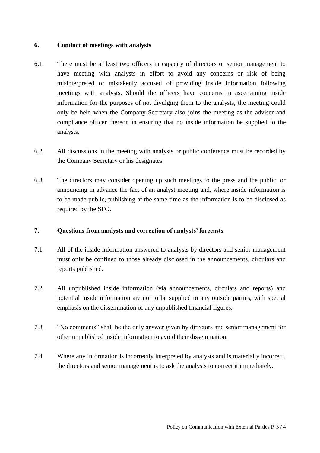#### **6. Conduct of meetings with analysts**

- 6.1. There must be at least two officers in capacity of directors or senior management to have meeting with analysts in effort to avoid any concerns or risk of being misinterpreted or mistakenly accused of providing inside information following meetings with analysts. Should the officers have concerns in ascertaining inside information for the purposes of not divulging them to the analysts, the meeting could only be held when the Company Secretary also joins the meeting as the adviser and compliance officer thereon in ensuring that no inside information be supplied to the analysts.
- 6.2. All discussions in the meeting with analysts or public conference must be recorded by the Company Secretary or his designates.
- 6.3. The directors may consider opening up such meetings to the press and the public, or announcing in advance the fact of an analyst meeting and, where inside information is to be made public, publishing at the same time as the information is to be disclosed as required by the SFO.

# **7. Questions from analysts and correction of analysts' forecasts**

- 7.1. All of the inside information answered to analysts by directors and senior management must only be confined to those already disclosed in the announcements, circulars and reports published.
- 7.2. All unpublished inside information (via announcements, circulars and reports) and potential inside information are not to be supplied to any outside parties, with special emphasis on the dissemination of any unpublished financial figures.
- 7.3. "No comments" shall be the only answer given by directors and senior management for other unpublished inside information to avoid their dissemination.
- 7.4. Where any information is incorrectly interpreted by analysts and is materially incorrect, the directors and senior management is to ask the analysts to correct it immediately.